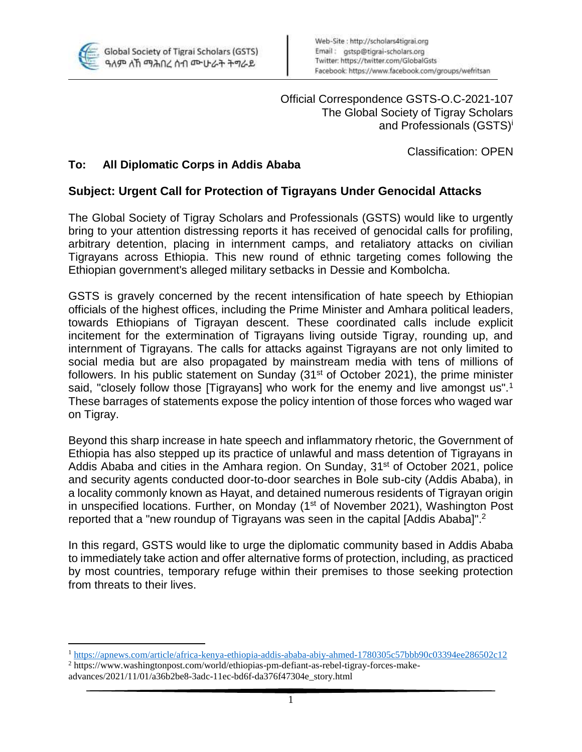

 $\overline{a}$ 

Official Correspondence GSTS-O.C-2021-107 The Global Society of Tigray Scholars and Professionals (GSTS)<sup>i</sup>

Classification: OPEN

## **To: All Diplomatic Corps in Addis Ababa**

## **Subject: Urgent Call for Protection of Tigrayans Under Genocidal Attacks**

The Global Society of Tigray Scholars and Professionals (GSTS) would like to urgently bring to your attention distressing reports it has received of genocidal calls for profiling, arbitrary detention, placing in internment camps, and retaliatory attacks on civilian Tigrayans across Ethiopia. This new round of ethnic targeting comes following the Ethiopian government's alleged military setbacks in Dessie and Kombolcha.

GSTS is gravely concerned by the recent intensification of hate speech by Ethiopian officials of the highest offices, including the Prime Minister and Amhara political leaders, towards Ethiopians of Tigrayan descent. These coordinated calls include explicit incitement for the extermination of Tigrayans living outside Tigray, rounding up, and internment of Tigrayans. The calls for attacks against Tigrayans are not only limited to social media but are also propagated by mainstream media with tens of millions of followers. In his public statement on Sunday (31<sup>st</sup> of October 2021), the prime minister said, "closely follow those [Tigrayans] who work for the enemy and live amongst us".<sup>1</sup> These barrages of statements expose the policy intention of those forces who waged war on Tigray.

Beyond this sharp increase in hate speech and inflammatory rhetoric, the Government of Ethiopia has also stepped up its practice of unlawful and mass detention of Tigrayans in Addis Ababa and cities in the Amhara region. On Sunday, 31<sup>st</sup> of October 2021, police and security agents conducted door-to-door searches in Bole sub-city (Addis Ababa), in a locality commonly known as Hayat, and detained numerous residents of Tigrayan origin in unspecified locations. Further, on Monday (1<sup>st</sup> of November 2021), Washington Post reported that a "new roundup of Tigrayans was seen in the capital [Addis Ababa]".<sup>2</sup>

In this regard, GSTS would like to urge the diplomatic community based in Addis Ababa to immediately take action and offer alternative forms of protection, including, as practiced by most countries, temporary refuge within their premises to those seeking protection from threats to their lives.

<sup>1</sup> <https://apnews.com/article/africa-kenya-ethiopia-addis-ababa-abiy-ahmed-1780305c57bbb90c03394ee286502c12>

<sup>2</sup> https://www.washingtonpost.com/world/ethiopias-pm-defiant-as-rebel-tigray-forces-makeadvances/2021/11/01/a36b2be8-3adc-11ec-bd6f-da376f47304e\_story.html